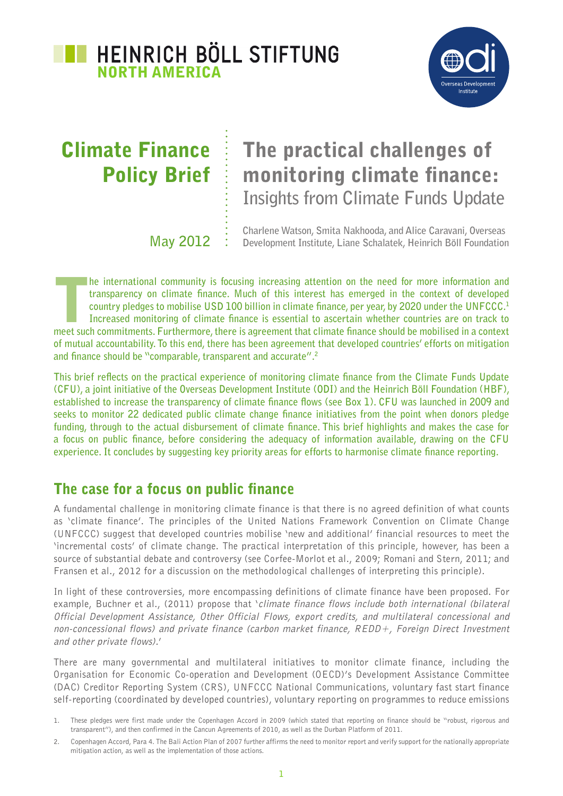



# Climate Finance Policy Brief

# The practical challenges of monitoring climate finance: **Insights from Climate Funds Update**

**May 2012**

**Charlene Watson, Smita Nakhooda, and Alice Caravani, Overseas Development Institute, Liane Schalatek, Heinrich Böll Foundation**

**The international community is focusing increasing attention on the need for more information and transparency on climate finance. Much of this interest has emerged in the context of developed country pledges to mobilise transparency on climate finance. Much of this interest has emerged in the context of developed country pledges to mobilise USD 100 billion in climate finance, per year, by 2020 under the UNFCCC.1 Increased monitoring of climate finance is essential to ascertain whether countries are on track to meet such commitments. Furthermore, there is agreement that climate finance should be mobilised in a context of mutual accountability. To this end, there has been agreement that developed countries' efforts on mitigation and finance should be "comparable, transparent and accurate".2**

**This brief reflects on the practical experience of monitoring climate finance from the Climate Funds Update (CFU), a joint initiative of the Overseas Development Institute (ODI) and the Heinrich Böll Foundation (HBF), established to increase the transparency of climate finance flows (see Box 1). CFU was launched in 2009 and seeks to monitor 22 dedicated public climate change finance initiatives from the point when donors pledge funding, through to the actual disbursement of climate finance. This brief highlights and makes the case for a focus on public finance, before considering the adequacy of information available, drawing on the CFU experience. It concludes by suggesting key priority areas for efforts to harmonise climate finance reporting.** 

# The case for a focus on public finance

A fundamental challenge in monitoring climate finance is that there is no agreed definition of what counts as 'climate finance'. The principles of the United Nations Framework Convention on Climate Change (UNFCCC) suggest that developed countries mobilise 'new and additional' financial resources to meet the 'incremental costs' of climate change. The practical interpretation of this principle, however, has been a source of substantial debate and controversy (see Corfee-Morlot et al., 2009; Romani and Stern, 2011; and Fransen et al., 2012 for a discussion on the methodological challenges of interpreting this principle).

In light of these controversies, more encompassing definitions of climate finance have been proposed. For example, Buchner et al., (2011) propose that 'climate finance flows include both international (bilateral Official Development Assistance, Other Official Flows, export credits, and multilateral concessional and non-concessional flows) and private finance (carbon market finance, REDD+, Foreign Direct Investment and other private flows).'

There are many governmental and multilateral initiatives to monitor climate finance, including the Organisation for Economic Co-operation and Development (OECD)'s Development Assistance Committee (DAC) Creditor Reporting System (CRS), UNFCCC National Communications, voluntary fast start finance self-reporting (coordinated by developed countries), voluntary reporting on programmes to reduce emissions

<sup>1.</sup> These pledges were first made under the Copenhagen Accord in 2009 (which stated that reporting on finance should be "robust, rigorous and transparent"), and then confirmed in the Cancun Agreements of 2010, as well as the Durban Platform of 2011.

<sup>2.</sup> Copenhagen Accord, Para 4. The Bali Action Plan of 2007 further affirms the need to monitor report and verify support for the nationally appropriate mitigation action, as well as the implementation of those actions.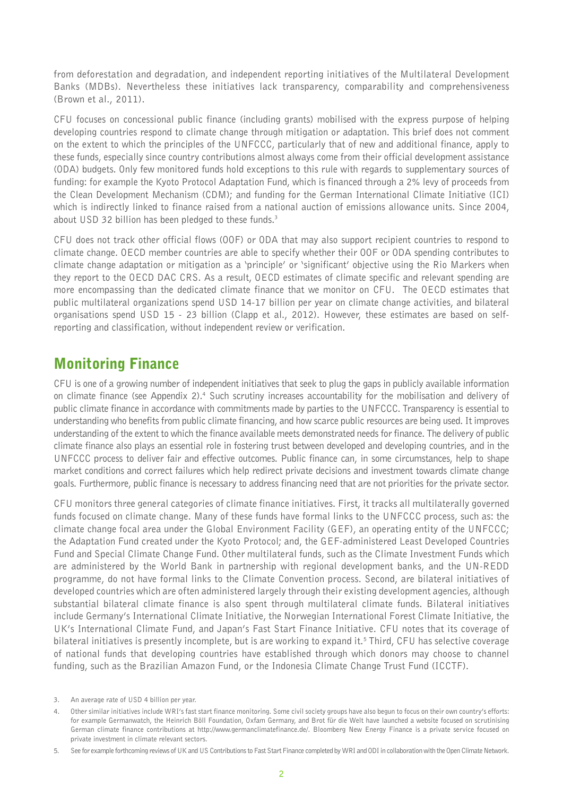from deforestation and degradation, and independent reporting initiatives of the Multilateral Development Banks (MDBs). Nevertheless these initiatives lack transparency, comparability and comprehensiveness (Brown et al., 2011).

CFU focuses on concessional public finance (including grants) mobilised with the express purpose of helping developing countries respond to climate change through mitigation or adaptation. This brief does not comment on the extent to which the principles of the UNFCCC, particularly that of new and additional finance, apply to these funds, especially since country contributions almost always come from their official development assistance (ODA) budgets. Only few monitored funds hold exceptions to this rule with regards to supplementary sources of funding: for example the Kyoto Protocol Adaptation Fund, which is financed through a 2% levy of proceeds from the Clean Development Mechanism (CDM); and funding for the German International Climate Initiative (ICI) which is indirectly linked to finance raised from a national auction of emissions allowance units. Since 2004, about USD 32 billion has been pledged to these funds.<sup>3</sup>

CFU does not track other official flows (OOF) or ODA that may also support recipient countries to respond to climate change. OECD member countries are able to specify whether their OOF or ODA spending contributes to climate change adaptation or mitigation as a 'principle' or 'significant' objective using the Rio Markers when they report to the OECD DAC CRS. As a result, OECD estimates of climate specific and relevant spending are more encompassing than the dedicated climate finance that we monitor on CFU. The OECD estimates that public multilateral organizations spend USD 14-17 billion per year on climate change activities, and bilateral organisations spend USD 15 - 23 billion (Clapp et al., 2012). However, these estimates are based on selfreporting and classification, without independent review or verification.

# Monitoring Finance

CFU is one of a growing number of independent initiatives that seek to plug the gaps in publicly available information on climate finance (see Appendix 2).<sup>4</sup> Such scrutiny increases accountability for the mobilisation and delivery of public climate finance in accordance with commitments made by parties to the UNFCCC. Transparency is essential to understanding who benefits from public climate financing, and how scarce public resources are being used. It improves understanding of the extent to which the finance available meets demonstrated needs for finance. The delivery of public climate finance also plays an essential role in fostering trust between developed and developing countries, and in the UNFCCC process to deliver fair and effective outcomes. Public finance can, in some circumstances, help to shape market conditions and correct failures which help redirect private decisions and investment towards climate change goals. Furthermore, public finance is necessary to address financing need that are not priorities for the private sector.

CFU monitors three general categories of climate finance initiatives. First, it tracks all multilaterally governed funds focused on climate change. Many of these funds have formal links to the UNFCCC process, such as: the climate change focal area under the Global Environment Facility (GEF), an operating entity of the UNFCCC; the Adaptation Fund created under the Kyoto Protocol; and, the GEF-administered Least Developed Countries Fund and Special Climate Change Fund. Other multilateral funds, such as the Climate Investment Funds which are administered by the World Bank in partnership with regional development banks, and the UN-REDD programme, do not have formal links to the Climate Convention process. Second, are bilateral initiatives of developed countries which are often administered largely through their existing development agencies, although substantial bilateral climate finance is also spent through multilateral climate funds. Bilateral initiatives include Germany's International Climate Initiative, the Norwegian International Forest Climate Initiative, the UK's International Climate Fund, and Japan's Fast Start Finance Initiative. CFU notes that its coverage of bilateral initiatives is presently incomplete, but is are working to expand it.5 Third, CFU has selective coverage of national funds that developing countries have established through which donors may choose to channel funding, such as the Brazilian Amazon Fund, or the Indonesia Climate Change Trust Fund (ICCTF).

<sup>3.</sup> An average rate of USD 4 billion per year.

<sup>4.</sup> Other similar initiatives include WRI's fast start finance monitoring. Some civil society groups have also begun to focus on their own country's efforts: for example Germanwatch, the Heinrich Böll Foundation, Oxfam Germany, and Brot für die Welt have launched a website focused on scrutinising German climate finance contributions at http://www.germanclimatefinance.de/. Bloomberg New Energy Finance is a private service focused on private investment in climate relevant sectors.

See for example forthcoming reviews of UK and US Contributions to Fast Start Finance completed by WRI and ODI in collaboration with the Open Climate Network.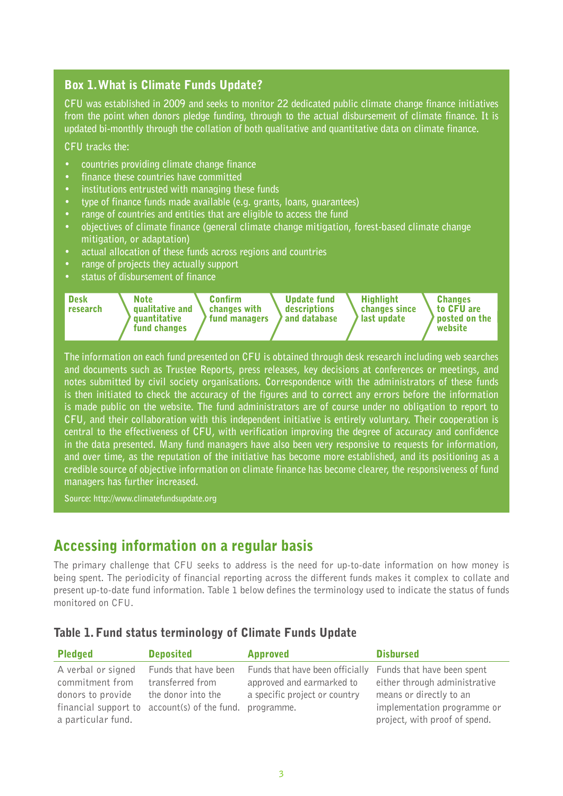### Box 1. What is Climate Funds Update?

**CFU was established in 2009 and seeks to monitor 22 dedicated public climate change finance initiatives from the point when donors pledge funding, through to the actual disbursement of climate finance. It is updated bi-monthly through the collation of both qualitative and quantitative data on climate finance.** 

**CFU tracks the:**

- **• countries providing climate change finance**
- **• finance these countries have committed**
- **• institutions entrusted with managing these funds**
- **• type of finance funds made available (e.g. grants, loans, guarantees)**
- **• range of countries and entities that are eligible to access the fund**
- **• objectives of climate finance (general climate change mitigation, forest-based climate change mitigation, or adaptation)**
- **• actual allocation of these funds across regions and countries**
- **• range of projects they actually support**
- **• status of disbursement of finance**



**The information on each fund presented on CFU is obtained through desk research including web searches and documents such as Trustee Reports, press releases, key decisions at conferences or meetings, and notes submitted by civil society organisations. Correspondence with the administrators of these funds is then initiated to check the accuracy of the figures and to correct any errors before the information is made public on the website. The fund administrators are of course under no obligation to report to CFU, and their collaboration with this independent initiative is entirely voluntary. Their cooperation is central to the effectiveness of CFU, with verification improving the degree of accuracy and confidence in the data presented. Many fund managers have also been very responsive to requests for information, and over time, as the reputation of the initiative has become more established, and its positioning as a credible source of objective information on climate finance has become clearer, the responsiveness of fund managers has further increased.** 

**Source: http://www.climatefundsupdate.org**

## Accessing information on a regular basis

The primary challenge that CFU seeks to address is the need for up-to-date information on how money is being spent. The periodicity of financial reporting across the different funds makes it complex to collate and present up-to-date fund information. Table 1 below defines the terminology used to indicate the status of funds monitored on CFU.

#### Table 1. Fund status terminology of Climate Funds Update

| <b>Pledged</b>                                                                   | <b>Deposited</b>                                                                                               | <b>Approved</b>                                                                                             | <b>Disbursed</b>                                                                                                                                       |
|----------------------------------------------------------------------------------|----------------------------------------------------------------------------------------------------------------|-------------------------------------------------------------------------------------------------------------|--------------------------------------------------------------------------------------------------------------------------------------------------------|
| A verbal or signed<br>commitment from<br>donors to provide<br>a particular fund. | Funds that have been<br>transferred from<br>the donor into the<br>financial support to account(s) of the fund. | Funds that have been officially<br>approved and earmarked to<br>a specific project or country<br>programme. | Funds that have been spent<br>either through administrative<br>means or directly to an<br>implementation programme or<br>project, with proof of spend. |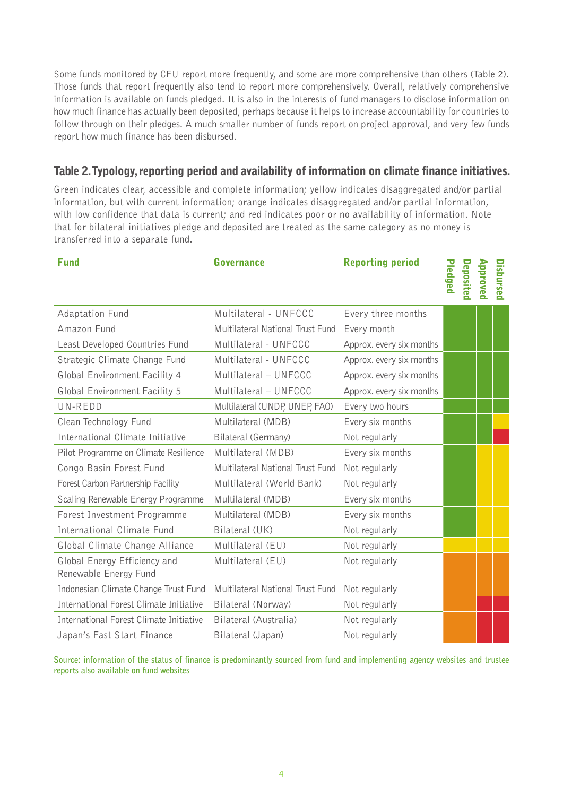Some funds monitored by CFU report more frequently, and some are more comprehensive than others (Table 2). Those funds that report frequently also tend to report more comprehensively. Overall, relatively comprehensive information is available on funds pledged. It is also in the interests of fund managers to disclose information on how much finance has actually been deposited, perhaps because it helps to increase accountability for countries to follow through on their pledges. A much smaller number of funds report on project approval, and very few funds report how much finance has been disbursed.

### Table 2. Typology, reporting period and availability of information on climate finance initiatives.

Green indicates clear, accessible and complete information; yellow indicates disaggregated and/or partial information, but with current information; orange indicates disaggregated and/or partial information, with low confidence that data is current; and red indicates poor or no availability of information. Note that for bilateral initiatives pledge and deposited are treated as the same category as no money is transferred into a separate fund.

| <b>Fund</b>                                           | <b>Governance</b>                       | <b>Reporting period</b>  | Pledged | Deposited | Approved | <b>Disbursed</b> |
|-------------------------------------------------------|-----------------------------------------|--------------------------|---------|-----------|----------|------------------|
| Adaptation Fund                                       | Multilateral - UNFCCC                   | Every three months       |         |           |          |                  |
| Amazon Fund                                           | <b>Multilateral National Trust Fund</b> | Every month              |         |           |          |                  |
| Least Developed Countries Fund                        | Multilateral - UNFCCC                   | Approx. every six months |         |           |          |                  |
| Strategic Climate Change Fund                         | Multilateral - UNFCCC                   | Approx. every six months |         |           |          |                  |
| Global Environment Facility 4                         | Multilateral - UNFCCC                   | Approx. every six months |         |           |          |                  |
| Global Environment Facility 5                         | Multilateral - UNFCCC                   | Approx. every six months |         |           |          |                  |
| UN-REDD                                               | Multilateral (UNDP, UNEP, FAO)          | Every two hours          |         |           |          |                  |
| Clean Technology Fund                                 | Multilateral (MDB)                      | Every six months         |         |           |          |                  |
| International Climate Initiative                      | Bilateral (Germany)                     | Not regularly            |         |           |          |                  |
| Pilot Programme on Climate Resilience                 | Multilateral (MDB)                      | Every six months         |         |           |          |                  |
| Congo Basin Forest Fund                               | Multilateral National Trust Fund        | Not regularly            |         |           |          |                  |
| Forest Carbon Partnership Facility                    | Multilateral (World Bank)               | Not regularly            |         |           |          |                  |
| Scaling Renewable Energy Programme                    | Multilateral (MDB)                      | Every six months         |         |           |          |                  |
| Forest Investment Programme                           | Multilateral (MDB)                      | Every six months         |         |           |          |                  |
| International Climate Fund                            | Bilateral (UK)                          | Not regularly            |         |           |          |                  |
| Global Climate Change Alliance                        | Multilateral (EU)                       | Not regularly            |         |           |          |                  |
| Global Energy Efficiency and<br>Renewable Energy Fund | Multilateral (EU)                       | Not regularly            |         |           |          |                  |
| Indonesian Climate Change Trust Fund                  | Multilateral National Trust Fund        | Not regularly            |         |           |          |                  |
| International Forest Climate Initiative               | Bilateral (Norway)                      | Not regularly            |         |           |          |                  |
| International Forest Climate Initiative               | Bilateral (Australia)                   | Not regularly            |         |           |          |                  |
| Japan's Fast Start Finance                            | Bilateral (Japan)                       | Not regularly            |         |           |          |                  |

**Source: information of the status of finance is predominantly sourced from fund and implementing agency websites and trustee reports also available on fund websites**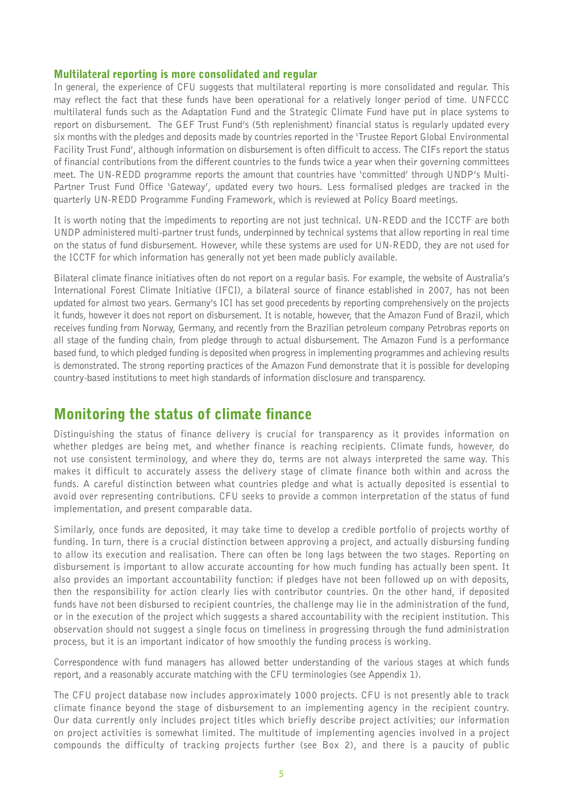#### Multilateral reporting is more consolidated and regular

In general, the experience of CFU suggests that multilateral reporting is more consolidated and regular. This may reflect the fact that these funds have been operational for a relatively longer period of time. UNFCCC multilateral funds such as the Adaptation Fund and the Strategic Climate Fund have put in place systems to report on disbursement. The GEF Trust Fund's (5th replenishment) financial status is regularly updated every six months with the pledges and deposits made by countries reported in the 'Trustee Report Global Environmental Facility Trust Fund', although information on disbursement is often difficult to access. The CIFs report the status of financial contributions from the different countries to the funds twice a year when their governing committees meet. The UN-REDD programme reports the amount that countries have 'committed' through UNDP's Multi-Partner Trust Fund Office 'Gateway', updated every two hours. Less formalised pledges are tracked in the quarterly UN-REDD Programme Funding Framework, which is reviewed at Policy Board meetings.

It is worth noting that the impediments to reporting are not just technical. UN-REDD and the ICCTF are both UNDP administered multi-partner trust funds, underpinned by technical systems that allow reporting in real time on the status of fund disbursement. However, while these systems are used for UN-REDD, they are not used for the ICCTF for which information has generally not yet been made publicly available.

Bilateral climate finance initiatives often do not report on a regular basis. For example, the website of Australia's International Forest Climate Initiative (IFCI), a bilateral source of finance established in 2007, has not been updated for almost two years. Germany's ICI has set good precedents by reporting comprehensively on the projects it funds, however it does not report on disbursement. It is notable, however, that the Amazon Fund of Brazil, which receives funding from Norway, Germany, and recently from the Brazilian petroleum company Petrobras reports on all stage of the funding chain, from pledge through to actual disbursement. The Amazon Fund is a performance based fund, to which pledged funding is deposited when progress in implementing programmes and achieving results is demonstrated. The strong reporting practices of the Amazon Fund demonstrate that it is possible for developing country-based institutions to meet high standards of information disclosure and transparency.

# Monitoring the status of climate finance

Distinguishing the status of finance delivery is crucial for transparency as it provides information on whether pledges are being met, and whether finance is reaching recipients. Climate funds, however, do not use consistent terminology, and where they do, terms are not always interpreted the same way. This makes it difficult to accurately assess the delivery stage of climate finance both within and across the funds. A careful distinction between what countries pledge and what is actually deposited is essential to avoid over representing contributions. CFU seeks to provide a common interpretation of the status of fund implementation, and present comparable data.

Similarly, once funds are deposited, it may take time to develop a credible portfolio of projects worthy of funding. In turn, there is a crucial distinction between approving a project, and actually disbursing funding to allow its execution and realisation. There can often be long lags between the two stages. Reporting on disbursement is important to allow accurate accounting for how much funding has actually been spent. It also provides an important accountability function: if pledges have not been followed up on with deposits, then the responsibility for action clearly lies with contributor countries. On the other hand, if deposited funds have not been disbursed to recipient countries, the challenge may lie in the administration of the fund, or in the execution of the project which suggests a shared accountability with the recipient institution. This observation should not suggest a single focus on timeliness in progressing through the fund administration process, but it is an important indicator of how smoothly the funding process is working.

Correspondence with fund managers has allowed better understanding of the various stages at which funds report, and a reasonably accurate matching with the CFU terminologies (see Appendix 1).

The CFU project database now includes approximately 1000 projects. CFU is not presently able to track climate finance beyond the stage of disbursement to an implementing agency in the recipient country. Our data currently only includes project titles which briefly describe project activities; our information on project activities is somewhat limited. The multitude of implementing agencies involved in a project compounds the difficulty of tracking projects further (see Box 2), and there is a paucity of public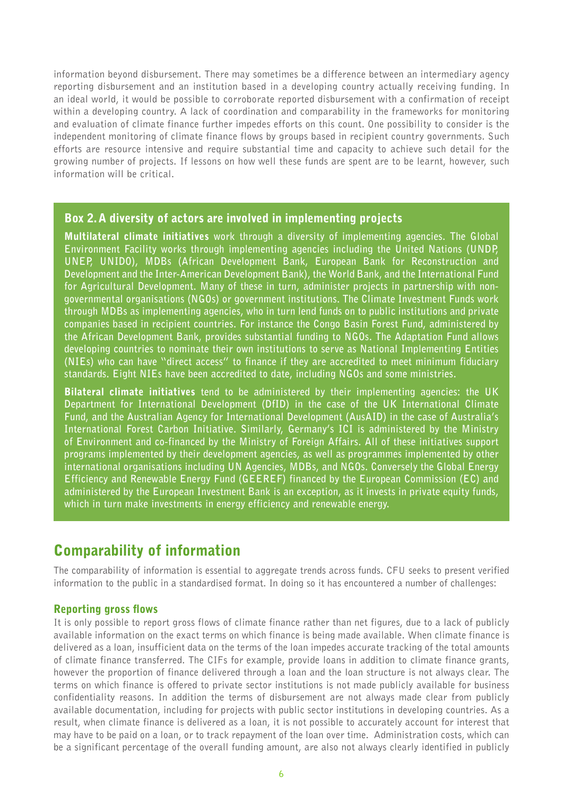information beyond disbursement. There may sometimes be a difference between an intermediary agency reporting disbursement and an institution based in a developing country actually receiving funding. In an ideal world, it would be possible to corroborate reported disbursement with a confirmation of receipt within a developing country. A lack of coordination and comparability in the frameworks for monitoring and evaluation of climate finance further impedes efforts on this count. One possibility to consider is the independent monitoring of climate finance flows by groups based in recipient country governments. Such efforts are resource intensive and require substantial time and capacity to achieve such detail for the growing number of projects. If lessons on how well these funds are spent are to be learnt, however, such information will be critical.

#### Box 2. A diversity of actors are involved in implementing projects

Multilateral climate initiatives **work through a diversity of implementing agencies. The Global Environment Facility works through implementing agencies including the United Nations (UNDP, UNEP, UNIDO), MDBs (African Development Bank, European Bank for Reconstruction and Development and the Inter-American Development Bank), the World Bank, and the International Fund for Agricultural Development. Many of these in turn, administer projects in partnership with nongovernmental organisations (NGOs) or government institutions. The Climate Investment Funds work through MDBs as implementing agencies, who in turn lend funds on to public institutions and private companies based in recipient countries. For instance the Congo Basin Forest Fund, administered by the African Development Bank, provides substantial funding to NGOs. The Adaptation Fund allows developing countries to nominate their own institutions to serve as National Implementing Entities (NIEs) who can have "direct access" to finance if they are accredited to meet minimum fiduciary standards. Eight NIEs have been accredited to date, including NGOs and some ministries.** 

Bilateral climate initiatives **tend to be administered by their implementing agencies: the UK Department for International Development (DfID) in the case of the UK International Climate Fund, and the Australian Agency for International Development (AusAID) in the case of Australia's International Forest Carbon Initiative. Similarly, Germany's ICI is administered by the Ministry of Environment and co-financed by the Ministry of Foreign Affairs. All of these initiatives support programs implemented by their development agencies, as well as programmes implemented by other international organisations including UN Agencies, MDBs, and NGOs. Conversely the Global Energy Efficiency and Renewable Energy Fund (GEEREF) financed by the European Commission (EC) and administered by the European Investment Bank is an exception, as it invests in private equity funds, which in turn make investments in energy efficiency and renewable energy.** 

# Comparability of information

The comparability of information is essential to aggregate trends across funds. CFU seeks to present verified information to the public in a standardised format. In doing so it has encountered a number of challenges:

#### Reporting gross flows

It is only possible to report gross flows of climate finance rather than net figures, due to a lack of publicly available information on the exact terms on which finance is being made available. When climate finance is delivered as a loan, insufficient data on the terms of the loan impedes accurate tracking of the total amounts of climate finance transferred. The CIFs for example, provide loans in addition to climate finance grants, however the proportion of finance delivered through a loan and the loan structure is not always clear. The terms on which finance is offered to private sector institutions is not made publicly available for business confidentiality reasons. In addition the terms of disbursement are not always made clear from publicly available documentation, including for projects with public sector institutions in developing countries. As a result, when climate finance is delivered as a loan, it is not possible to accurately account for interest that may have to be paid on a loan, or to track repayment of the loan over time. Administration costs, which can be a significant percentage of the overall funding amount, are also not always clearly identified in publicly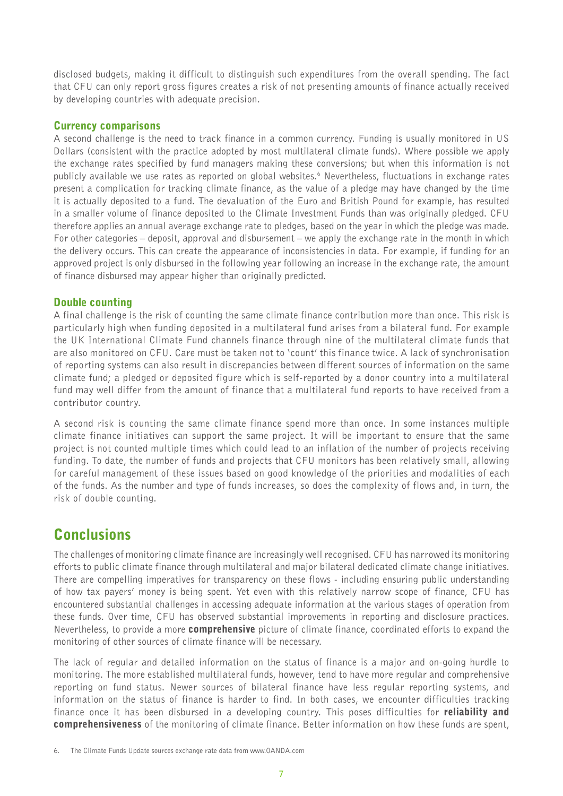disclosed budgets, making it difficult to distinguish such expenditures from the overall spending. The fact that CFU can only report gross figures creates a risk of not presenting amounts of finance actually received by developing countries with adequate precision.

#### Currency comparisons

A second challenge is the need to track finance in a common currency. Funding is usually monitored in US Dollars (consistent with the practice adopted by most multilateral climate funds). Where possible we apply the exchange rates specified by fund managers making these conversions; but when this information is not publicly available we use rates as reported on global websites.6 Nevertheless, fluctuations in exchange rates present a complication for tracking climate finance, as the value of a pledge may have changed by the time it is actually deposited to a fund. The devaluation of the Euro and British Pound for example, has resulted in a smaller volume of finance deposited to the Climate Investment Funds than was originally pledged. CFU therefore applies an annual average exchange rate to pledges, based on the year in which the pledge was made. For other categories – deposit, approval and disbursement – we apply the exchange rate in the month in which the delivery occurs. This can create the appearance of inconsistencies in data. For example, if funding for an approved project is only disbursed in the following year following an increase in the exchange rate, the amount of finance disbursed may appear higher than originally predicted.

#### Double counting

A final challenge is the risk of counting the same climate finance contribution more than once. This risk is particularly high when funding deposited in a multilateral fund arises from a bilateral fund. For example the UK International Climate Fund channels finance through nine of the multilateral climate funds that are also monitored on CFU. Care must be taken not to 'count' this finance twice. A lack of synchronisation of reporting systems can also result in discrepancies between different sources of information on the same climate fund; a pledged or deposited figure which is self-reported by a donor country into a multilateral fund may well differ from the amount of finance that a multilateral fund reports to have received from a contributor country.

A second risk is counting the same climate finance spend more than once. In some instances multiple climate finance initiatives can support the same project. It will be important to ensure that the same project is not counted multiple times which could lead to an inflation of the number of projects receiving funding. To date, the number of funds and projects that CFU monitors has been relatively small, allowing for careful management of these issues based on good knowledge of the priorities and modalities of each of the funds. As the number and type of funds increases, so does the complexity of flows and, in turn, the risk of double counting.

# **Conclusions**

The challenges of monitoring climate finance are increasingly well recognised. CFU has narrowed its monitoring efforts to public climate finance through multilateral and major bilateral dedicated climate change initiatives. There are compelling imperatives for transparency on these flows - including ensuring public understanding of how tax payers' money is being spent. Yet even with this relatively narrow scope of finance, CFU has encountered substantial challenges in accessing adequate information at the various stages of operation from these funds. Over time, CFU has observed substantial improvements in reporting and disclosure practices. Nevertheless, to provide a more **comprehensive** picture of climate finance, coordinated efforts to expand the monitoring of other sources of climate finance will be necessary.

The lack of regular and detailed information on the status of finance is a major and on-going hurdle to monitoring. The more established multilateral funds, however, tend to have more regular and comprehensive reporting on fund status. Newer sources of bilateral finance have less regular reporting systems, and information on the status of finance is harder to find. In both cases, we encounter difficulties tracking finance once it has been disbursed in a developing country. This poses difficulties for **reliability and** comprehensiveness of the monitoring of climate finance. Better information on how these funds are spent,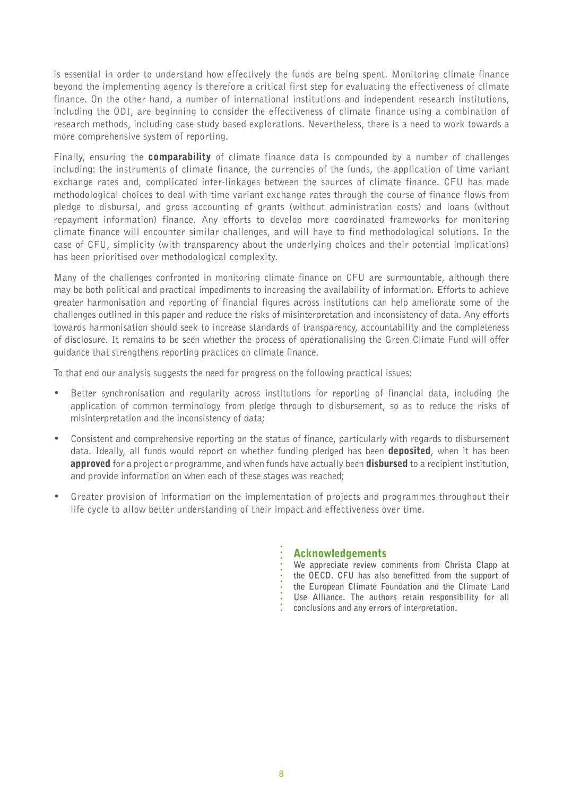is essential in order to understand how effectively the funds are being spent. Monitoring climate finance beyond the implementing agency is therefore a critical first step for evaluating the effectiveness of climate finance. On the other hand, a number of international institutions and independent research institutions, including the ODI, are beginning to consider the effectiveness of climate finance using a combination of research methods, including case study based explorations. Nevertheless, there is a need to work towards a more comprehensive system of reporting.

Finally, ensuring the **comparability** of climate finance data is compounded by a number of challenges including: the instruments of climate finance, the currencies of the funds, the application of time variant exchange rates and, complicated inter-linkages between the sources of climate finance. CFU has made methodological choices to deal with time variant exchange rates through the course of finance flows from pledge to disbursal, and gross accounting of grants (without administration costs) and loans (without repayment information) finance. Any efforts to develop more coordinated frameworks for monitoring climate finance will encounter similar challenges, and will have to find methodological solutions. In the case of CFU, simplicity (with transparency about the underlying choices and their potential implications) has been prioritised over methodological complexity.

Many of the challenges confronted in monitoring climate finance on CFU are surmountable, although there may be both political and practical impediments to increasing the availability of information. Efforts to achieve greater harmonisation and reporting of financial figures across institutions can help ameliorate some of the challenges outlined in this paper and reduce the risks of misinterpretation and inconsistency of data. Any efforts towards harmonisation should seek to increase standards of transparency, accountability and the completeness of disclosure. It remains to be seen whether the process of operationalising the Green Climate Fund will offer guidance that strengthens reporting practices on climate finance.

To that end our analysis suggests the need for progress on the following practical issues:

- Better synchronisation and regularity across institutions for reporting of financial data, including the application of common terminology from pledge through to disbursement, so as to reduce the risks of misinterpretation and the inconsistency of data;
- Consistent and comprehensive reporting on the status of finance, particularly with regards to disbursement data. Ideally, all funds would report on whether funding pledged has been **deposited**, when it has been **approved** for a project or programme, and when funds have actually been **disbursed** to a recipient institution, and provide information on when each of these stages was reached;
- Greater provision of information on the implementation of projects and programmes throughout their life cycle to allow better understanding of their impact and effectiveness over time.

#### Acknowledgements

**We appreciate review comments from Christa Clapp at the OECD. CFU has also benefitted from the support of the European Climate Foundation and the Climate Land Use Alliance. The authors retain responsibility for all conclusions and any errors of interpretation.**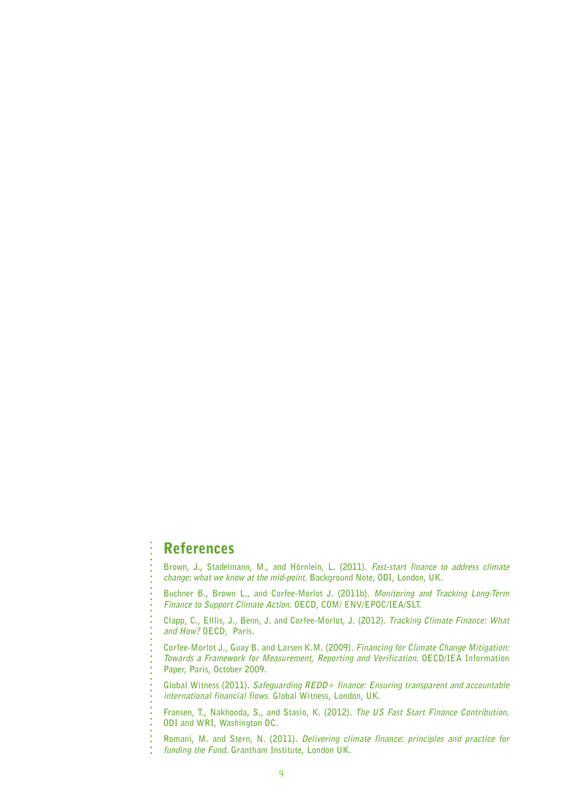### References

**Brown, J., Stadelmann, M., and Hörnlein, L. (2011). Fast-start finance to address climate change: what we know at the mid-point. Background Note, ODI, London, UK.**

**Buchner B., Brown L., and Corfee-Morlot J. (2011b). Monitoring and Tracking Long-Term Finance to Support Climate Action. OECD, COM/ ENV/EPOC/IEA/SLT.**

**Clapp, C., Elllis, J., Benn, J. and Corfee-Morlot, J. (2012). Tracking Climate Finance: What and How? OECD, Paris.** 

**Corfee-Morlot J., Guay B. and Larsen K.M. (2009). Financing for Climate Change Mitigation: Towards a Framework for Measurement, Reporting and Verification. OECD/IEA Information Paper, Paris, October 2009.**

**Global Witness (2011). Safeguarding REDD+ finance: Ensuring transparent and accountable international financial flows. Global Witness, London, UK.**

**Fransen, T., Nakhooda, S., and Stasio, K. (2012). The US Fast Start Finance Contribution. ODI and WRI, Washington DC.** 

**Romani, M. and Stern, N. (2011). Delivering climate finance: principles and practice for funding the Fund. Grantham Institute, London UK.**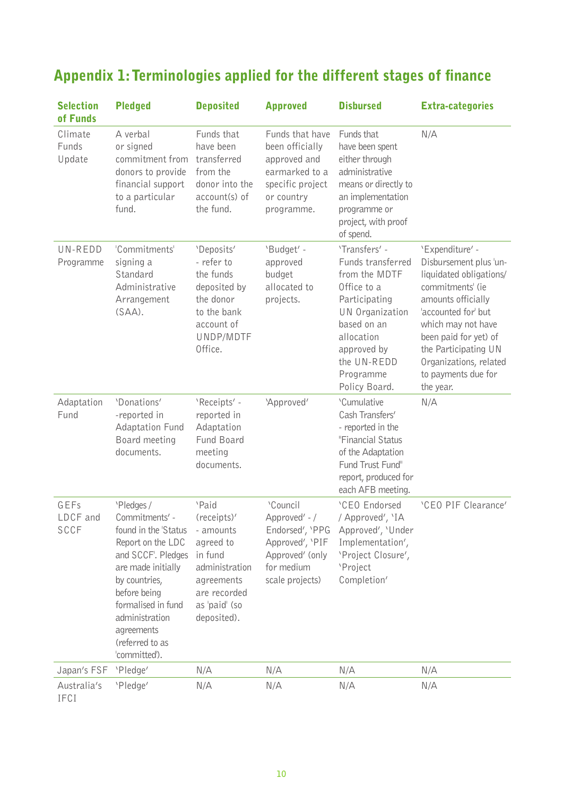# Appendix 1: Terminologies applied for the different stages of finance

| <b>Selection</b><br>of Funds    | <b>Pledged</b>                                                                                                                                                                                                                                   | <b>Deposited</b>                                                                                                                          | <b>Approved</b>                                                                                                      | <b>Disbursed</b>                                                                                                                                                                                | <b>Extra-categories</b>                                                                                                                                                                                                                                                    |
|---------------------------------|--------------------------------------------------------------------------------------------------------------------------------------------------------------------------------------------------------------------------------------------------|-------------------------------------------------------------------------------------------------------------------------------------------|----------------------------------------------------------------------------------------------------------------------|-------------------------------------------------------------------------------------------------------------------------------------------------------------------------------------------------|----------------------------------------------------------------------------------------------------------------------------------------------------------------------------------------------------------------------------------------------------------------------------|
| Climate<br>Funds<br>Update      | A verbal<br>or signed<br>commitment from<br>donors to provide<br>financial support<br>to a particular<br>fund.                                                                                                                                   | Funds that<br>have been<br>transferred<br>from the<br>donor into the<br>account(s) of<br>the fund.                                        | Funds that have<br>been officially<br>approved and<br>earmarked to a<br>specific project<br>or country<br>programme. | Funds that<br>have been spent<br>either through<br>administrative<br>means or directly to<br>an implementation<br>programme or<br>project, with proof<br>of spend.                              | N/A                                                                                                                                                                                                                                                                        |
| UN-REDD<br>Programme            | 'Commitments'<br>signing a<br>Standard<br>Administrative<br>Arrangement<br>$(SAA)$ .                                                                                                                                                             | 'Deposits'<br>- refer to<br>the funds<br>deposited by<br>the donor<br>to the bank<br>account of<br>UNDP/MDTF<br>Office.                   | 'Budget' -<br>approved<br>budget<br>allocated to<br>projects.                                                        | 'Transfers' -<br>Funds transferred<br>from the MDTF<br>Office to a<br>Participating<br>UN Organization<br>based on an<br>allocation<br>approved by<br>the UN-REDD<br>Programme<br>Policy Board. | 'Expenditure' -<br>Disbursement plus 'un-<br>liquidated obligations/<br>commitments' (ie<br>amounts officially<br>'accounted for' but<br>which may not have<br>been paid for yet) of<br>the Participating UN<br>Organizations, related<br>to payments due for<br>the year. |
| Adaptation<br>Fund              | 'Donations'<br>-reported in<br>Adaptation Fund<br>Board meeting<br>documents.                                                                                                                                                                    | 'Receipts' -<br>reported in<br>Adaptation<br>Fund Board<br>meeting<br>documents.                                                          | 'Approved'                                                                                                           | 'Cumulative<br>Cash Transfers'<br>- reported in the<br>"Financial Status<br>of the Adaptation<br>Fund Trust Fund"<br>report, produced for<br>each AFB meeting.                                  | N/A                                                                                                                                                                                                                                                                        |
| GEFs<br>LDCF and<br><b>SCCF</b> | 'Pledges /<br>Commitments' -<br>found in the 'Status<br>Report on the LDC<br>and SCCF'. Pledges<br>are made initially<br>by countries,<br>before being<br>formalised in fund<br>administration<br>agreements<br>(referred to as<br>'committed'). | 'Paid<br>(receipts)'<br>- amounts<br>agreed to<br>in fund<br>administration<br>agreements<br>are recorded<br>as 'paid' (so<br>deposited). | 'Council<br>Approved' - /<br>Endorsed', 'PPG<br>Approved', 'PIF<br>Approved' (only<br>for medium<br>scale projects)  | <b>CEO</b> Endorsed<br>/ Approved', 'IA<br>Approved', 'Under<br>Implementation',<br>'Project Closure',<br>'Project<br>Completion'                                                               | 'CEO PIF Clearance'                                                                                                                                                                                                                                                        |
| Japan's FSF                     | 'Pledge'                                                                                                                                                                                                                                         | N/A                                                                                                                                       | N/A                                                                                                                  | N/A                                                                                                                                                                                             | N/A                                                                                                                                                                                                                                                                        |
| Australia's<br>IFCI             | 'Pledge'                                                                                                                                                                                                                                         | N/A                                                                                                                                       | N/A                                                                                                                  | N/A                                                                                                                                                                                             | N/A                                                                                                                                                                                                                                                                        |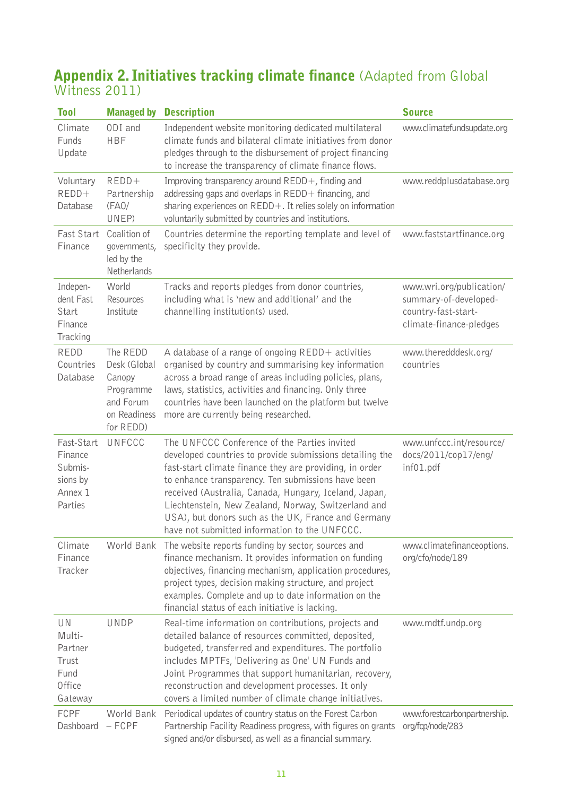## **Appendix 2. Initiatives tracking climate finance** (Adapted from Global Witness 2011)

| <b>Tool</b>                                                        | <b>Managed by</b>                                                                         | <b>Description</b>                                                                                                                                                                                                                                                                                                                                                                                                                                | <b>Source</b>                                                                                       |
|--------------------------------------------------------------------|-------------------------------------------------------------------------------------------|---------------------------------------------------------------------------------------------------------------------------------------------------------------------------------------------------------------------------------------------------------------------------------------------------------------------------------------------------------------------------------------------------------------------------------------------------|-----------------------------------------------------------------------------------------------------|
| Climate<br>Funds<br>Update                                         | ODI and<br><b>HBF</b>                                                                     | Independent website monitoring dedicated multilateral<br>climate funds and bilateral climate initiatives from donor<br>pledges through to the disbursement of project financing<br>to increase the transparency of climate finance flows.                                                                                                                                                                                                         | www.climatefundsupdate.org                                                                          |
| Voluntary<br>$REDD+$<br>Database                                   | $REDD+$<br>Partnership<br>(FAO/<br>UNEP)                                                  | Improving transparency around $REDD+$ , finding and<br>addressing gaps and overlaps in REDD+ financing, and<br>sharing experiences on REDD+. It relies solely on information<br>voluntarily submitted by countries and institutions.                                                                                                                                                                                                              | www.reddplusdatabase.org                                                                            |
| Fast Start<br>Finance                                              | Coalition of<br>governments,<br>led by the<br>Netherlands                                 | Countries determine the reporting template and level of<br>specificity they provide.                                                                                                                                                                                                                                                                                                                                                              | www.faststartfinance.org                                                                            |
| Indepen-<br>dent Fast<br>Start<br>Finance<br>Tracking              | World<br><b>Resources</b><br>Institute                                                    | Tracks and reports pledges from donor countries,<br>including what is 'new and additional' and the<br>channelling institution(s) used.                                                                                                                                                                                                                                                                                                            | www.wri.org/publication/<br>summary-of-developed-<br>country-fast-start-<br>climate-finance-pledges |
| REDD<br>Countries<br>Database                                      | The REDD<br>Desk (Global<br>Canopy<br>Programme<br>and Forum<br>on Readiness<br>for REDD) | A database of a range of ongoing REDD+ activities<br>organised by country and summarising key information<br>across a broad range of areas including policies, plans,<br>laws, statistics, activities and financing. Only three<br>countries have been launched on the platform but twelve<br>more are currently being researched.                                                                                                                | www.theredddesk.org/<br>countries                                                                   |
| Fast-Start<br>Finance<br>Submis-<br>sions by<br>Annex 1<br>Parties | UNFCCC                                                                                    | The UNFCCC Conference of the Parties invited<br>developed countries to provide submissions detailing the<br>fast-start climate finance they are providing, in order<br>to enhance transparency. Ten submissions have been<br>received (Australia, Canada, Hungary, Iceland, Japan,<br>Liechtenstein, New Zealand, Norway, Switzerland and<br>USA), but donors such as the UK, France and Germany<br>have not submitted information to the UNFCCC. | www.unfccc.int/resource/<br>docs/2011/cop17/eng/<br>inf01.pdf                                       |
| Climate<br>Finance<br>Tracker                                      | World Bank                                                                                | The website reports funding by sector, sources and<br>finance mechanism. It provides information on funding<br>objectives, financing mechanism, application procedures,<br>project types, decision making structure, and project<br>examples. Complete and up to date information on the<br>financial status of each initiative is lacking.                                                                                                       | www.climatefinanceoptions.<br>org/cfo/node/189                                                      |
| UN<br>Multi-<br>Partner<br>Trust<br>Fund<br>Office<br>Gateway      | UNDP                                                                                      | Real-time information on contributions, projects and<br>detailed balance of resources committed, deposited,<br>budgeted, transferred and expenditures. The portfolio<br>includes MPTFs, 'Delivering as One' UN Funds and<br>Joint Programmes that support humanitarian, recovery,<br>reconstruction and development processes. It only<br>covers a limited number of climate change initiatives.                                                  | www.mdtf.undp.org                                                                                   |
| <b>FCPF</b><br>Dashboard                                           | World Bank<br>$-$ FCPF                                                                    | Periodical updates of country status on the Forest Carbon<br>Partnership Facility Readiness progress, with figures on grants<br>signed and/or disbursed, as well as a financial summary.                                                                                                                                                                                                                                                          | www.forestcarbonpartnership.<br>org/fcp/node/283                                                    |